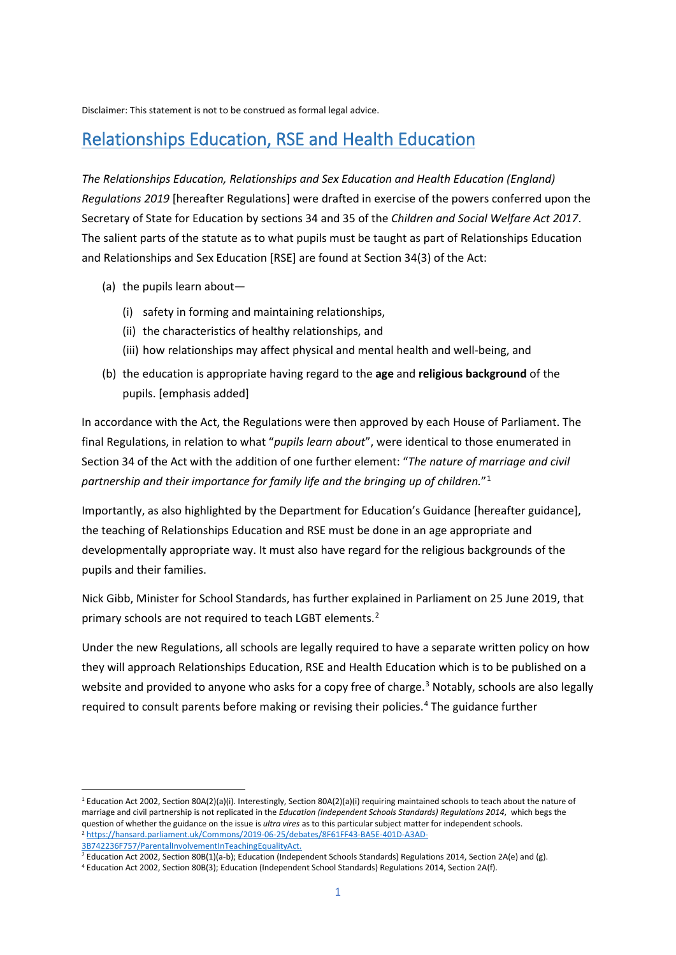Disclaimer: This statement is not to be construed as formal legal advice.

# Relationships Education, RSE and Health Education

*The Relationships Education, Relationships and Sex Education and Health Education (England) Regulations 2019* [hereafter Regulations] were drafted in exercise of the powers conferred upon the Secretary of State for Education by sections 34 and 35 of the *Children and Social Welfare Act 2017*. The salient parts of the statute as to what pupils must be taught as part of Relationships Education and Relationships and Sex Education [RSE] are found at Section 34(3) of the Act:

- (a) the pupils learn about—
	- (i) safety in forming and maintaining relationships,
	- (ii) the characteristics of healthy relationships, and
	- (iii) how relationships may affect physical and mental health and well-being, and
- (b) the education is appropriate having regard to the **age** and **religious background** of the pupils. [emphasis added]

In accordance with the Act, the Regulations were then approved by each House of Parliament. The final Regulations, in relation to what "*pupils learn about*", were identical to those enumerated in Section 34 of the Act with the addition of one further element: "*The nature of marriage and civil partnership and their importance for family life and the bringing up of children.*"1

Importantly, as also highlighted by the Department for Education's Guidance [hereafter guidance], the teaching of Relationships Education and RSE must be done in an age appropriate and developmentally appropriate way. It must also have regard for the religious backgrounds of the pupils and their families.

Nick Gibb, Minister for School Standards, has further explained in Parliament on 25 June 2019, that primary schools are not required to teach LGBT elements.<sup>2</sup>

Under the new Regulations, all schools are legally required to have a separate written policy on how they will approach Relationships Education, RSE and Health Education which is to be published on a website and provided to anyone who asks for a copy free of charge.<sup>3</sup> Notably, schools are also legally required to consult parents before making or revising their policies.4 The guidance further

<sup>&</sup>lt;sup>1</sup> Education Act 2002, Section 80A(2)(a)(i). Interestingly, Section 80A(2)(a)(i) requiring maintained schools to teach about the nature of marriage and civil partnership is not replicated in the *Education (Independent Schools Standards) Regulations 2014*, which begs the question of whether the guidance on the issue is *ultra vires* as to this particular subject matter for independent schools.<br><sup>2</sup> [https://hansard.parliament.uk/Commons/2019-06-25/debates/8F61FF43-BA5E-401D-A3AD-](https://hansard.parliament.uk/Commons/2019-06-25/debates/8F61FF43-BA5E-401D-A3AD-3B742236F757/ParentalInvolvementInTeachingEqualityAct)[3B742236F757/ParentalInvolvementInTeachingEqualityAct.](https://hansard.parliament.uk/Commons/2019-06-25/debates/8F61FF43-BA5E-401D-A3AD-3B742236F757/ParentalInvolvementInTeachingEqualityAct)

 $3$  Education Act 2002, Section 80B(1)(a-b); Education (Independent Schools Standards) Regulations 2014, Section 2A(e) and (g).

<sup>4</sup> Education Act 2002, Section 80B(3); Education (Independent School Standards) Regulations 2014, Section 2A(f).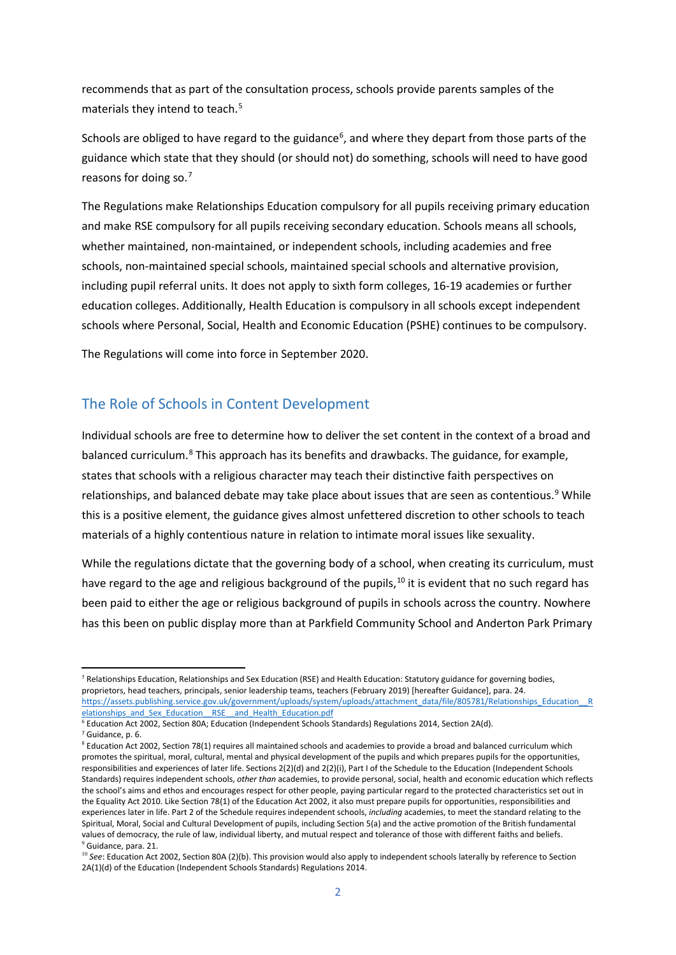recommends that as part of the consultation process, schools provide parents samples of the materials they intend to teach.<sup>5</sup>

Schools are obliged to have regard to the guidance<sup>6</sup>, and where they depart from those parts of the guidance which state that they should (or should not) do something, schools will need to have good reasons for doing so.<sup>7</sup>

The Regulations make Relationships Education compulsory for all pupils receiving primary education and make RSE compulsory for all pupils receiving secondary education. Schools means all schools, whether maintained, non-maintained, or independent schools, including academies and free schools, non-maintained special schools, maintained special schools and alternative provision, including pupil referral units. It does not apply to sixth form colleges, 16-19 academies or further education colleges. Additionally, Health Education is compulsory in all schools except independent schools where Personal, Social, Health and Economic Education (PSHE) continues to be compulsory.

The Regulations will come into force in September 2020.

#### The Role of Schools in Content Development

Individual schools are free to determine how to deliver the set content in the context of a broad and balanced curriculum.<sup>8</sup> This approach has its benefits and drawbacks. The guidance, for example, states that schools with a religious character may teach their distinctive faith perspectives on relationships, and balanced debate may take place about issues that are seen as contentious.<sup>9</sup> While this is a positive element, the guidance gives almost unfettered discretion to other schools to teach materials of a highly contentious nature in relation to intimate moral issues like sexuality.

While the regulations dictate that the governing body of a school, when creating its curriculum, must have regard to the age and religious background of the pupils,<sup>10</sup> it is evident that no such regard has been paid to either the age or religious background of pupils in schools across the country. Nowhere has this been on public display more than at Parkfield Community School and Anderton Park Primary

<sup>&</sup>lt;sup>5</sup> Relationships Education, Relationships and Sex Education (RSE) and Health Education: Statutory guidance for governing bodies, proprietors, head teachers, principals, senior leadership teams, teachers (February 2019) [hereafter Guidance], para. 24. [https://assets.publishing.service.gov.uk/government/uploads/system/uploads/attachment\\_data/file/805781/Relationships\\_Education\\_\\_R](https://assets.publishing.service.gov.uk/government/uploads/system/uploads/attachment_data/file/805781/Relationships_Education__Relationships_and_Sex_Education__RSE__and_Health_Education.pdf) [elationships\\_and\\_Sex\\_Education\\_\\_RSE\\_\\_and\\_Health\\_Education.pdf](https://assets.publishing.service.gov.uk/government/uploads/system/uploads/attachment_data/file/805781/Relationships_Education__Relationships_and_Sex_Education__RSE__and_Health_Education.pdf)

 $^6$  Education Act 2002, Section 80A; Education (Independent Schools Standards) Regulations 2014, Section 2A(d). <sup>7</sup> Guidance, p. 6.

 $8$  Education Act 2002, Section 78(1) requires all maintained schools and academies to provide a broad and balanced curriculum which promotes the spiritual, moral, cultural, mental and physical development of the pupils and which prepares pupils for the opportunities, responsibilities and experiences of later life. Sections 2(2)(d) and 2(2)(i), Part I of the Schedule to the Education (Independent Schools Standards) requires independent schools, *other than* academies, to provide personal, social, health and economic education which reflects the school's aims and ethos and encourages respect for other people, paying particular regard to the protected characteristics set out in the Equality Act 2010. Like Section 78(1) of the Education Act 2002, it also must prepare pupils for opportunities, responsibilities and experiences later in life. Part 2 of the Schedule requires independent schools, *including* academies, to meet the standard relating to the Spiritual, Moral, Social and Cultural Development of pupils, including Section 5(a) and the active promotion of the British fundamental values of democracy, the rule of law, individual liberty, and mutual respect and tolerance of those with different faiths and beliefs. <sup>9</sup> Guidance, para. 21.

<sup>&</sup>lt;sup>10</sup> See: Education Act 2002, Section 80A (2)(b). This provision would also apply to independent schools laterally by reference to Section 2A(1)(d) of the Education (Independent Schools Standards) Regulations 2014.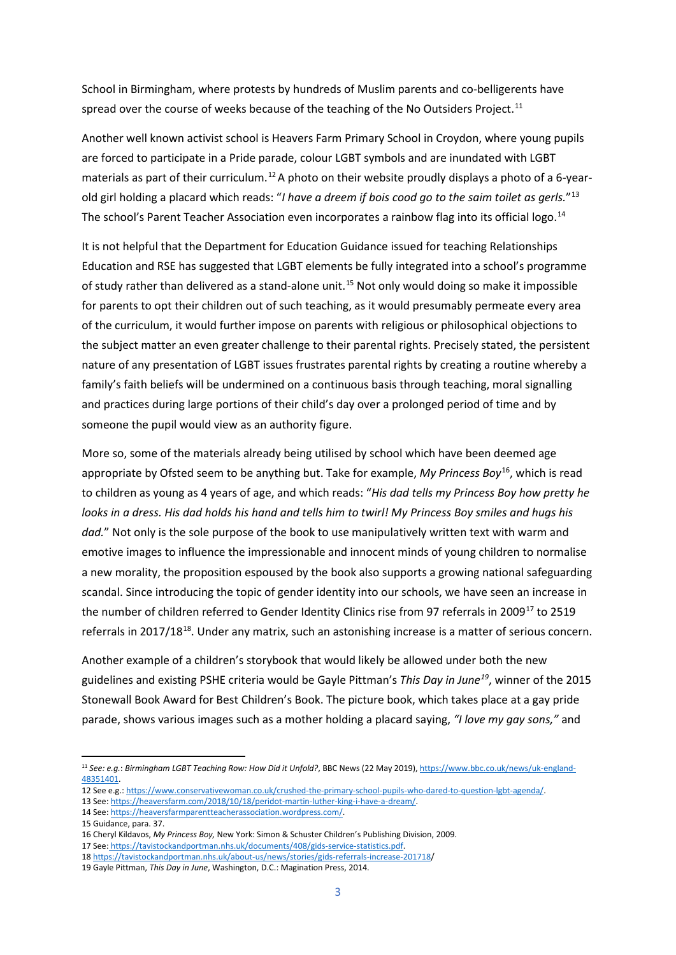School in Birmingham, where protests by hundreds of Muslim parents and co-belligerents have spread over the course of weeks because of the teaching of the No Outsiders Project.<sup>11</sup>

Another well known activist school is Heavers Farm Primary School in Croydon, where young pupils are forced to participate in a Pride parade, colour LGBT symbols and are inundated with LGBT materials as part of their curriculum.<sup>12</sup> A photo on their website proudly displays a photo of a 6-yearold girl holding a placard which reads: "*I have a dreem if bois cood go to the saim toilet as gerls.*"13 The school's Parent Teacher Association even incorporates a rainbow flag into its official logo.<sup>14</sup>

It is not helpful that the Department for Education Guidance issued for teaching Relationships Education and RSE has suggested that LGBT elements be fully integrated into a school's programme of study rather than delivered as a stand-alone unit.<sup>15</sup> Not only would doing so make it impossible for parents to opt their children out of such teaching, as it would presumably permeate every area of the curriculum, it would further impose on parents with religious or philosophical objections to the subject matter an even greater challenge to their parental rights. Precisely stated, the persistent nature of any presentation of LGBT issues frustrates parental rights by creating a routine whereby a family's faith beliefs will be undermined on a continuous basis through teaching, moral signalling and practices during large portions of their child's day over a prolonged period of time and by someone the pupil would view as an authority figure.

More so, some of the materials already being utilised by school which have been deemed age appropriate by Ofsted seem to be anything but. Take for example, *My Princess Boy*16, which is read to children as young as 4 years of age, and which reads: "*His dad tells my Princess Boy how pretty he looks in a dress. His dad holds his hand and tells him to twirl! My Princess Boy smiles and hugs his dad.*" Not only is the sole purpose of the book to use manipulatively written text with warm and emotive images to influence the impressionable and innocent minds of young children to normalise a new morality, the proposition espoused by the book also supports a growing national safeguarding scandal. Since introducing the topic of gender identity into our schools, we have seen an increase in the number of children referred to Gender Identity Clinics rise from 97 referrals in 2009<sup>17</sup> to 2519 referrals in 2017/18<sup>18</sup>. Under any matrix, such an astonishing increase is a matter of serious concern.

Another example of a children's storybook that would likely be allowed under both the new guidelines and existing PSHE criteria would be Gayle Pittman's *This Day in June19*, winner of the 2015 Stonewall Book Award for Best Children's Book. The picture book, which takes place at a gay pride parade, shows various images such as a mother holding a placard saying, *"I love my gay sons,"* and

<sup>11</sup> *See: e.g.*: *Birmingham LGBT Teaching Row: How Did it Unfold?*, BBC News (22 May 2019)[, https://www.bbc.co.uk/news/uk-england-](https://www.bbc.co.uk/news/uk-england-48351401)[48351401.](https://www.bbc.co.uk/news/uk-england-48351401)

<sup>12</sup> See e.g.[: https://www.conservativewoman.co.uk/crushed-the-primary-school-pupils-who-dared-to-question-lgbt-agenda/.](https://www.conservativewoman.co.uk/crushed-the-primary-school-pupils-who-dared-to-question-lgbt-agenda/)

<sup>13</sup> See[: https://heaversfarm.com/2018/10/18/peridot-martin-luther-king-i-have-a-dream/.](https://heaversfarm.com/2018/10/18/peridot-martin-luther-king-i-have-a-dream/)

<sup>14</sup> See[: https://heaversfarmparentteacherassociation.wordpress.com/.](https://heaversfarmparentteacherassociation.wordpress.com/)

<sup>15</sup> Guidance, para. 37.

<sup>16</sup> Cheryl Kildavos, *My Princess Boy,* New York: Simon & Schuster Children's Publishing Division, 2009.

<sup>17</sup> See: <https://tavistockandportman.nhs.uk/documents/408/gids-service-statistics.pdf.>

<sup>18</sup> <https://tavistockandportman.nhs.uk/about-us/news/stories/gids-referrals-increase-201718/>

<sup>19</sup> Gayle Pittman, *This Day in June*, Washington, D.C.: Magination Press, 2014.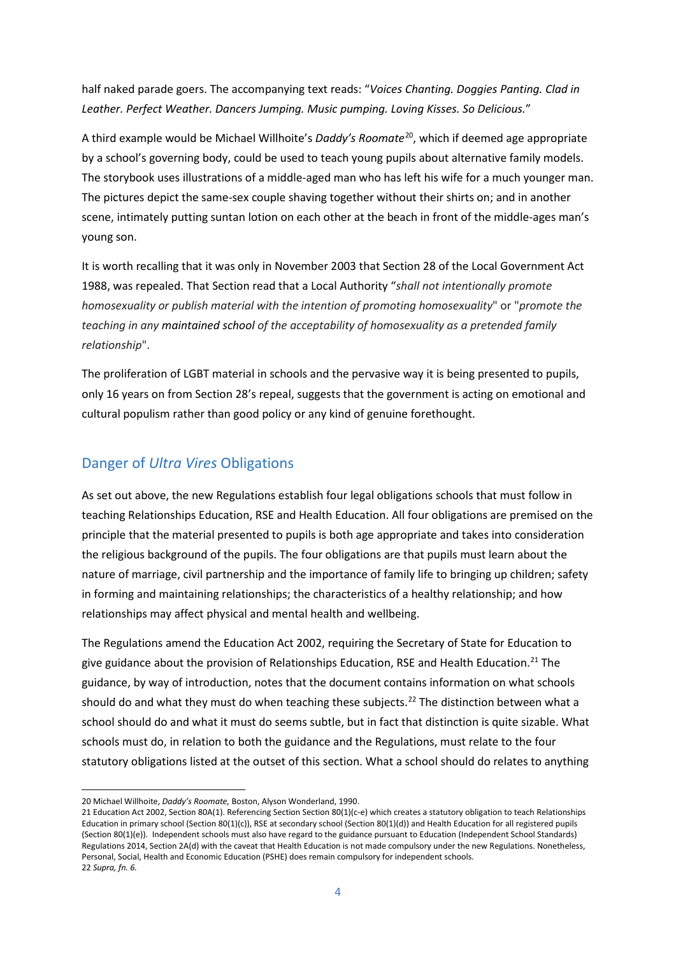half naked parade goers. The accompanying text reads: "*Voices Chanting. Doggies Panting. Clad in Leather. Perfect Weather. Dancers Jumping. Music pumping. Loving Kisses. So Delicious.*"

A third example would be Michael Willhoite's *Daddy's Roomate*20, which if deemed age appropriate by a school's governing body, could be used to teach young pupils about alternative family models. The storybook uses illustrations of a middle-aged man who has left his wife for a much younger man. The pictures depict the same-sex couple shaving together without their shirts on; and in another scene, intimately putting suntan lotion on each other at the beach in front of the middle-ages man's young son.

It is worth recalling that it was only in November 2003 that Section 28 of the Local Government Act 1988, was repealed. That Section read that a Local Authority "*shall not intentionally promote homosexuality or publish material with the intention of promoting homosexuality*" or "*promote the teaching in any maintained school of the acceptability of homosexuality as a pretended family relationship*".

The proliferation of LGBT material in schools and the pervasive way it is being presented to pupils, only 16 years on from Section 28's repeal, suggests that the government is acting on emotional and cultural populism rather than good policy or any kind of genuine forethought.

### Danger of *Ultra Vires* Obligations

As set out above, the new Regulations establish four legal obligations schools that must follow in teaching Relationships Education, RSE and Health Education. All four obligations are premised on the principle that the material presented to pupils is both age appropriate and takes into consideration the religious background of the pupils. The four obligations are that pupils must learn about the nature of marriage, civil partnership and the importance of family life to bringing up children; safety in forming and maintaining relationships; the characteristics of a healthy relationship; and how relationships may affect physical and mental health and wellbeing.

The Regulations amend the Education Act 2002, requiring the Secretary of State for Education to give guidance about the provision of Relationships Education, RSE and Health Education.<sup>21</sup> The guidance, by way of introduction, notes that the document contains information on what schools should do and what they must do when teaching these subjects.<sup>22</sup> The distinction between what a school should do and what it must do seems subtle, but in fact that distinction is quite sizable. What schools must do, in relation to both the guidance and the Regulations, must relate to the four statutory obligations listed at the outset of this section. What a school should do relates to anything

<sup>20</sup> Michael Willhoite, *Daddy's Roomate,* Boston, Alyson Wonderland, 1990.

<sup>21</sup> Education Act 2002, Section 80A(1). Referencing Section Section 80(1)(c-e) which creates a statutory obligation to teach Relationships Education in primary school (Section 80(1)(c)), RSE at secondary school (Section 80(1)(d)) and Health Education for all registered pupils (Section 80(1)(e)). Independent schools must also have regard to the guidance pursuant to Education (Independent School Standards) Regulations 2014, Section 2A(d) with the caveat that Health Education is not made compulsory under the new Regulations. Nonetheless, Personal, Social, Health and Economic Education (PSHE) does remain compulsory for independent schools. 22 *Supra, fn. 6.*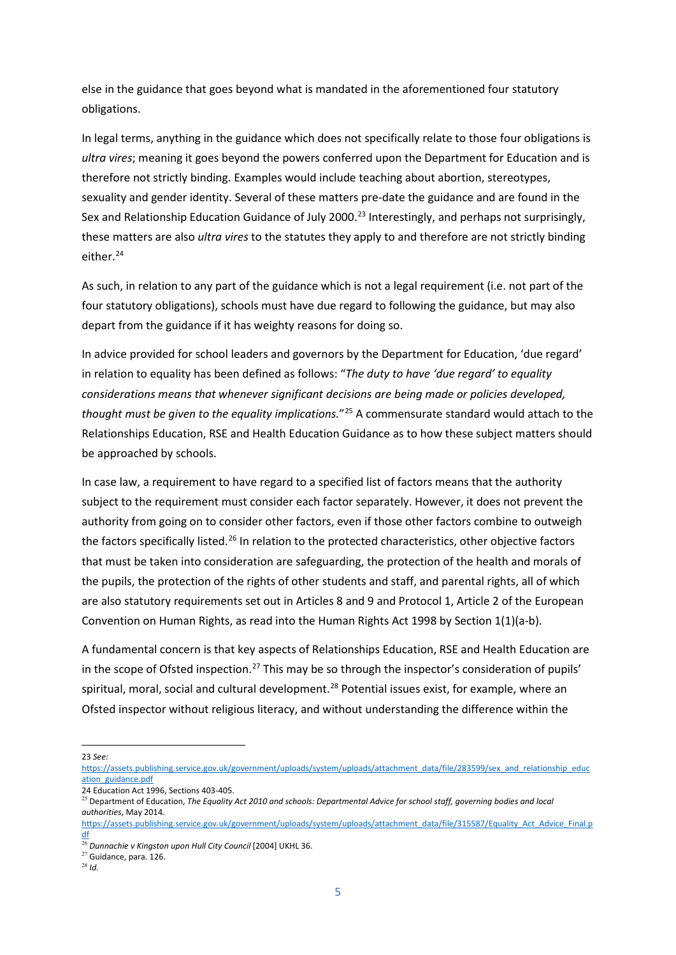else in the guidance that goes beyond what is mandated in the aforementioned four statutory obligations.

In legal terms, anything in the guidance which does not specifically relate to those four obligations is *ultra vires*; meaning it goes beyond the powers conferred upon the Department for Education and is therefore not strictly binding. Examples would include teaching about abortion, stereotypes, sexuality and gender identity. Several of these matters pre-date the guidance and are found in the Sex and Relationship Education Guidance of July 2000.<sup>23</sup> Interestingly, and perhaps not surprisingly, these matters are also *ultra vires* to the statutes they apply to and therefore are not strictly binding either.<sup>24</sup>

As such, in relation to any part of the guidance which is not a legal requirement (i.e. not part of the four statutory obligations), schools must have due regard to following the guidance, but may also depart from the guidance if it has weighty reasons for doing so.

In advice provided for school leaders and governors by the Department for Education, 'due regard' in relation to equality has been defined as follows: "*The duty to have 'due regard' to equality considerations means that whenever significant decisions are being made or policies developed, thought must be given to the equality implications.*"25 A commensurate standard would attach to the Relationships Education, RSE and Health Education Guidance as to how these subject matters should be approached by schools.

In case law, a requirement to have regard to a specified list of factors means that the authority subject to the requirement must consider each factor separately. However, it does not prevent the authority from going on to consider other factors, even if those other factors combine to outweigh the factors specifically listed.<sup>26</sup> In relation to the protected characteristics, other objective factors that must be taken into consideration are safeguarding, the protection of the health and morals of the pupils, the protection of the rights of other students and staff, and parental rights, all of which are also statutory requirements set out in Articles 8 and 9 and Protocol 1, Article 2 of the European Convention on Human Rights, as read into the Human Rights Act 1998 by Section 1(1)(a-b).

A fundamental concern is that key aspects of Relationships Education, RSE and Health Education are in the scope of Ofsted inspection.<sup>27</sup> This may be so through the inspector's consideration of pupils' spiritual, moral, social and cultural development.<sup>28</sup> Potential issues exist, for example, where an Ofsted inspector without religious literacy, and without understanding the difference within the

23 *See:*

24 Education Act 1996, Sections 403-405.

[https://assets.publishing.service.gov.uk/government/uploads/system/uploads/attachment\\_data/file/283599/sex\\_and\\_relationship\\_educ](https://assets.publishing.service.gov.uk/government/uploads/system/uploads/attachment_data/file/283599/sex_and_relationship_education_guidance.pdf) [ation\\_guidance.pdf](https://assets.publishing.service.gov.uk/government/uploads/system/uploads/attachment_data/file/283599/sex_and_relationship_education_guidance.pdf)

<sup>25</sup> Department of Education, *The Equality Act 2010 and schools: Departmental Advice for school staff, governing bodies and local authorities*, May 2014.

[https://assets.publishing.service.gov.uk/government/uploads/system/uploads/attachment\\_data/file/315587/Equality\\_Act\\_Advice\\_Final.p](https://assets.publishing.service.gov.uk/government/uploads/system/uploads/attachment_data/file/315587/Equality_Act_Advice_Final.pdf) [df](https://assets.publishing.service.gov.uk/government/uploads/system/uploads/attachment_data/file/315587/Equality_Act_Advice_Final.pdf)

<sup>26</sup> *Dunnachie v Kingston upon Hull City Council* [2004] UKHL 36.

<sup>27</sup> Guidance, para. 126.

<sup>28</sup> *Id.*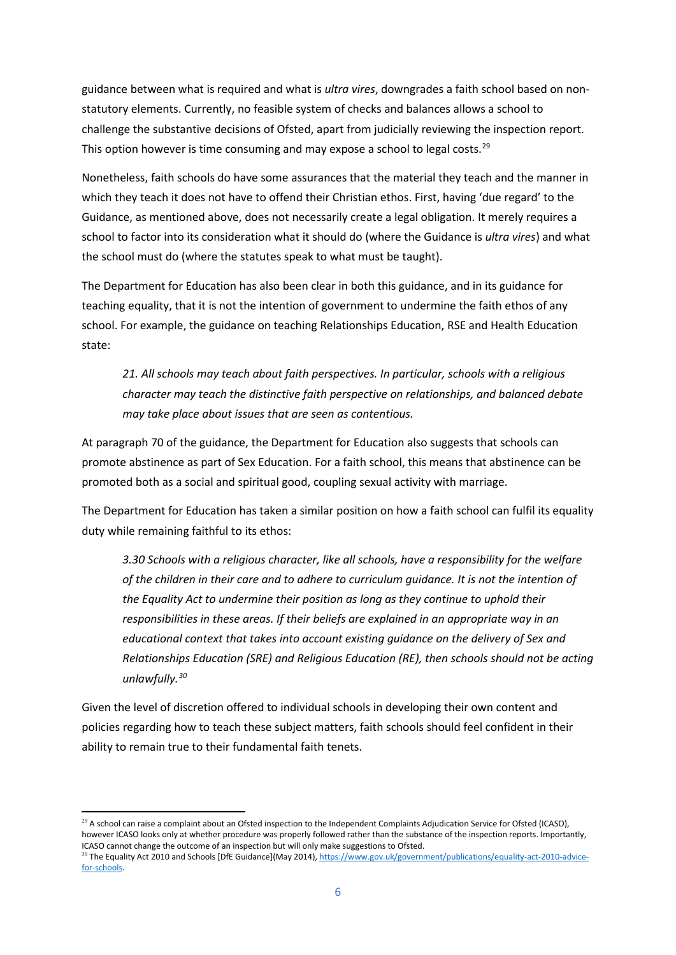guidance between what is required and what is *ultra vires*, downgrades a faith school based on nonstatutory elements. Currently, no feasible system of checks and balances allows a school to challenge the substantive decisions of Ofsted, apart from judicially reviewing the inspection report. This option however is time consuming and may expose a school to legal costs.<sup>29</sup>

Nonetheless, faith schools do have some assurances that the material they teach and the manner in which they teach it does not have to offend their Christian ethos. First, having 'due regard' to the Guidance, as mentioned above, does not necessarily create a legal obligation. It merely requires a school to factor into its consideration what it should do (where the Guidance is *ultra vires*) and what the school must do (where the statutes speak to what must be taught).

The Department for Education has also been clear in both this guidance, and in its guidance for teaching equality, that it is not the intention of government to undermine the faith ethos of any school. For example, the guidance on teaching Relationships Education, RSE and Health Education state:

*21. All schools may teach about faith perspectives. In particular, schools with a religious character may teach the distinctive faith perspective on relationships, and balanced debate may take place about issues that are seen as contentious.* 

At paragraph 70 of the guidance, the Department for Education also suggests that schools can promote abstinence as part of Sex Education. For a faith school, this means that abstinence can be promoted both as a social and spiritual good, coupling sexual activity with marriage.

The Department for Education has taken a similar position on how a faith school can fulfil its equality duty while remaining faithful to its ethos:

*3.30 Schools with a religious character, like all schools, have a responsibility for the welfare of the children in their care and to adhere to curriculum guidance. It is not the intention of the Equality Act to undermine their position as long as they continue to uphold their responsibilities in these areas. If their beliefs are explained in an appropriate way in an educational context that takes into account existing guidance on the delivery of Sex and Relationships Education (SRE) and Religious Education (RE), then schools should not be acting unlawfully.30*

Given the level of discretion offered to individual schools in developing their own content and policies regarding how to teach these subject matters, faith schools should feel confident in their ability to remain true to their fundamental faith tenets.

 $^{29}$  A school can raise a complaint about an Ofsted inspection to the Independent Complaints Adjudication Service for Ofsted (ICASO), however ICASO looks only at whether procedure was properly followed rather than the substance of the inspection reports. Importantly, ICASO cannot change the outcome of an inspection but will only make suggestions to Ofsted.

<sup>&</sup>lt;sup>30</sup> The Equality Act 2010 and Schools [DfE Guidance](May 2014), [https://www.gov.uk/government/publications/equality-act-2010-advice](https://www.gov.uk/government/publications/equality-act-2010-advice-for-schools)[for-schools.](https://www.gov.uk/government/publications/equality-act-2010-advice-for-schools)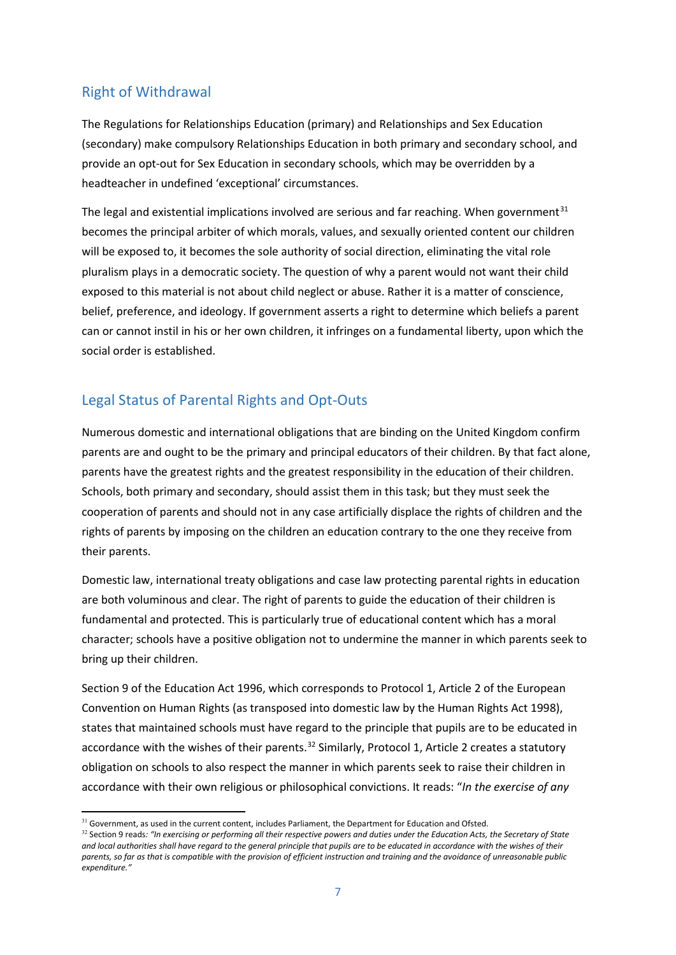## Right of Withdrawal

The Regulations for Relationships Education (primary) and Relationships and Sex Education (secondary) make compulsory Relationships Education in both primary and secondary school, and provide an opt-out for Sex Education in secondary schools, which may be overridden by a headteacher in undefined 'exceptional' circumstances.

The legal and existential implications involved are serious and far reaching. When government $31$ becomes the principal arbiter of which morals, values, and sexually oriented content our children will be exposed to, it becomes the sole authority of social direction, eliminating the vital role pluralism plays in a democratic society. The question of why a parent would not want their child exposed to this material is not about child neglect or abuse. Rather it is a matter of conscience, belief, preference, and ideology. If government asserts a right to determine which beliefs a parent can or cannot instil in his or her own children, it infringes on a fundamental liberty, upon which the social order is established.

## Legal Status of Parental Rights and Opt-Outs

Numerous domestic and international obligations that are binding on the United Kingdom confirm parents are and ought to be the primary and principal educators of their children. By that fact alone, parents have the greatest rights and the greatest responsibility in the education of their children. Schools, both primary and secondary, should assist them in this task; but they must seek the cooperation of parents and should not in any case artificially displace the rights of children and the rights of parents by imposing on the children an education contrary to the one they receive from their parents.

Domestic law, international treaty obligations and case law protecting parental rights in education are both voluminous and clear. The right of parents to guide the education of their children is fundamental and protected. This is particularly true of educational content which has a moral character; schools have a positive obligation not to undermine the manner in which parents seek to bring up their children.

Section 9 of the Education Act 1996, which corresponds to Protocol 1, Article 2 of the European Convention on Human Rights (as transposed into domestic law by the Human Rights Act 1998), states that maintained schools must have regard to the principle that pupils are to be educated in accordance with the wishes of their parents.<sup>32</sup> Similarly, Protocol 1, Article 2 creates a statutory obligation on schools to also respect the manner in which parents seek to raise their children in accordance with their own religious or philosophical convictions. It reads: "*In the exercise of any* 

<sup>&</sup>lt;sup>31</sup> Government, as used in the current content, includes Parliament, the Department for Education and Ofsted.

<sup>32</sup> Section 9 reads*: "In exercising or performing all their respective powers and duties under the Education Acts, the Secretary of State and local authorities shall have regard to the general principle that pupils are to be educated in accordance with the wishes of their parents, so far as that is compatible with the provision of efficient instruction and training and the avoidance of unreasonable public expenditure."*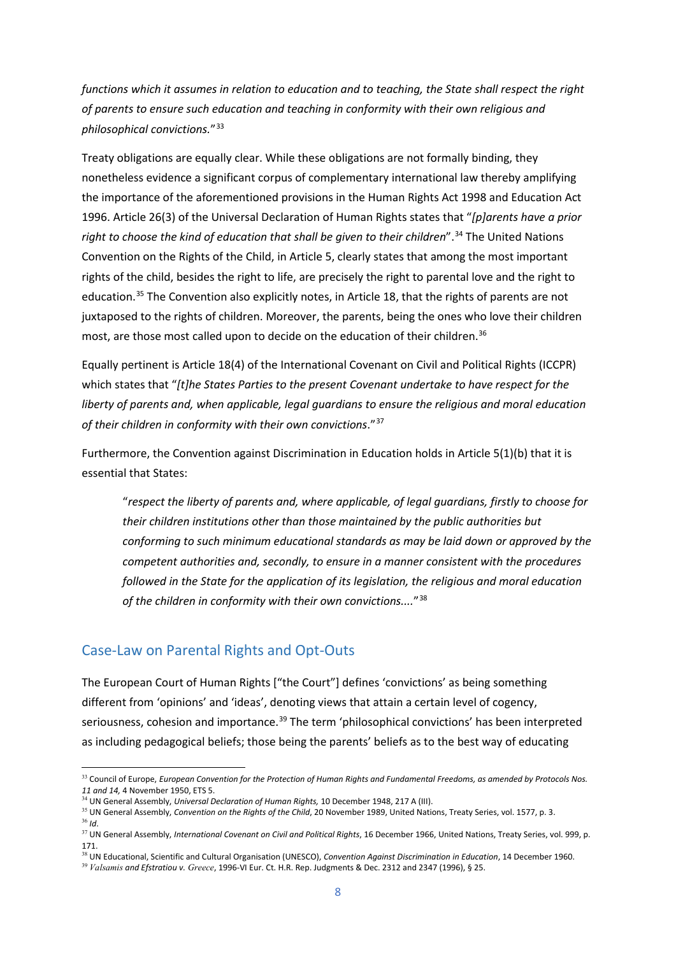*functions which it assumes in relation to education and to teaching, the State shall respect the right of parents to ensure such education and teaching in conformity with their own religious and philosophical convictions.*"33

Treaty obligations are equally clear. While these obligations are not formally binding, they nonetheless evidence a significant corpus of complementary international law thereby amplifying the importance of the aforementioned provisions in the Human Rights Act 1998 and Education Act 1996. Article 26(3) of the Universal Declaration of Human Rights states that "*[p]arents have a prior*  right to choose the kind of education that shall be given to their children".<sup>34</sup> The United Nations Convention on the Rights of the Child, in Article 5, clearly states that among the most important rights of the child, besides the right to life, are precisely the right to parental love and the right to education.35 The Convention also explicitly notes, in Article 18, that the rights of parents are not juxtaposed to the rights of children. Moreover, the parents, being the ones who love their children most, are those most called upon to decide on the education of their children.<sup>36</sup>

Equally pertinent is Article 18(4) of the International Covenant on Civil and Political Rights (ICCPR) which states that "*[t]he States Parties to the present Covenant undertake to have respect for the liberty of parents and, when applicable, legal guardians to ensure the religious and moral education of their children in conformity with their own convictions*."37

Furthermore, the Convention against Discrimination in Education holds in Article 5(1)(b) that it is essential that States:

"*respect the liberty of parents and, where applicable, of legal guardians, firstly to choose for their children institutions other than those maintained by the public authorities but conforming to such minimum educational standards as may be laid down or approved by the competent authorities and, secondly, to ensure in a manner consistent with the procedures followed in the State for the application of its legislation, the religious and moral education of the children in conformity with their own convictions....*"38

### Case-Law on Parental Rights and Opt-Outs

The European Court of Human Rights ["the Court"] defines 'convictions' as being something different from 'opinions' and 'ideas', denoting views that attain a certain level of cogency, seriousness, cohesion and importance.<sup>39</sup> The term 'philosophical convictions' has been interpreted as including pedagogical beliefs; those being the parents' beliefs as to the best way of educating

<sup>33</sup> Council of Europe, *European Convention for the Protection of Human Rights and Fundamental Freedoms, as amended by Protocols Nos. 11 and 14,* 4 November 1950, ETS 5.

<sup>34</sup> UN General Assembly, *Universal Declaration of Human Rights,* 10 December 1948, 217 A (III).

<sup>&</sup>lt;sup>35</sup> UN General Assembly, *Convention on the Rights of the Child*, 20 November 1989, United Nations, Treaty Series, vol. 1577, p. 3. <sup>36</sup> *Id*.

<sup>37</sup> UN General Assembly, *International Covenant on Civil and Political Rights*, 16 December 1966, United Nations, Treaty Series, vol. 999, p. 171.

<sup>38</sup> UN Educational, Scientific and Cultural Organisation (UNESCO), *Convention Against Discrimination in Education*, 14 December 1960.

<sup>39</sup> *Valsamis and Efstratiou v. Greece*, 1996-VI Eur. Ct. H.R. Rep. Judgments & Dec. 2312 and 2347 (1996), § 25.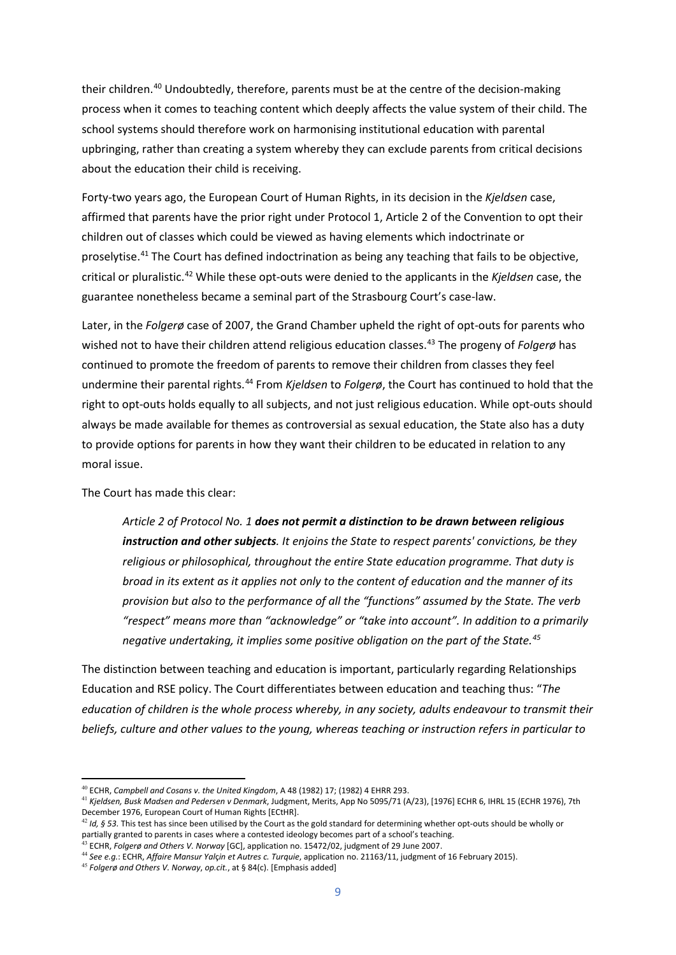their children.<sup>40</sup> Undoubtedly, therefore, parents must be at the centre of the decision-making process when it comes to teaching content which deeply affects the value system of their child. The school systems should therefore work on harmonising institutional education with parental upbringing, rather than creating a system whereby they can exclude parents from critical decisions about the education their child is receiving.

Forty-two years ago, the European Court of Human Rights, in its decision in the *Kjeldsen* case, affirmed that parents have the prior right under Protocol 1, Article 2 of the Convention to opt their children out of classes which could be viewed as having elements which indoctrinate or proselytise.41 The Court has defined indoctrination as being any teaching that fails to be objective, critical or pluralistic.42 While these opt-outs were denied to the applicants in the *Kjeldsen* case, the guarantee nonetheless became a seminal part of the Strasbourg Court's case-law.

Later, in the *Folgerø* case of 2007, the Grand Chamber upheld the right of opt-outs for parents who wished not to have their children attend religious education classes.<sup>43</sup> The progeny of *Folgerø* has continued to promote the freedom of parents to remove their children from classes they feel undermine their parental rights.44 From *Kjeldsen* to *Folgerø*, the Court has continued to hold that the right to opt-outs holds equally to all subjects, and not just religious education. While opt-outs should always be made available for themes as controversial as sexual education, the State also has a duty to provide options for parents in how they want their children to be educated in relation to any moral issue.

The Court has made this clear:

*Article 2 of Protocol No. 1 does not permit a distinction to be drawn between religious instruction and other subjects. It enjoins the State to respect parents' convictions, be they religious or philosophical, throughout the entire State education programme. That duty is broad in its extent as it applies not only to the content of education and the manner of its provision but also to the performance of all the "functions" assumed by the State. The verb "respect" means more than "acknowledge" or "take into account". In addition to a primarily negative undertaking, it implies some positive obligation on the part of the State.45*

The distinction between teaching and education is important, particularly regarding Relationships Education and RSE policy. The Court differentiates between education and teaching thus: "*The education of children is the whole process whereby, in any society, adults endeavour to transmit their beliefs, culture and other values to the young, whereas teaching or instruction refers in particular to* 

<sup>40</sup> ECHR, *Campbell and Cosans v. the United Kingdom*, A 48 (1982) 17; (1982) 4 EHRR 293.

<sup>41</sup> *Kjeldsen, Busk Madsen and Pedersen v Denmark*, Judgment, Merits, App No 5095/71 (A/23), [1976] ECHR 6, IHRL 15 (ECHR 1976), 7th December 1976, European Court of Human Rights [ECtHR].

 $42$  *Id, § 53.* This test has since been utilised by the Court as the gold standard for determining whether opt-outs should be wholly or partially granted to parents in cases where a contested ideology becomes part of a school's teaching.

<sup>43</sup> ECHR, *Folgerø and Others V. Norway* [GC], application no. 15472/02, judgment of 29 June 2007.

<sup>44</sup> *See e.g.*: ECHR, *Affaire Mansur Yal*ç*in et Autres c. Turquie*, application no. 21163/11, judgment of 16 February 2015).

<sup>45</sup> *Folgerø and Others V. Norway*, *op.cit.*, at § 84(c). [Emphasis added]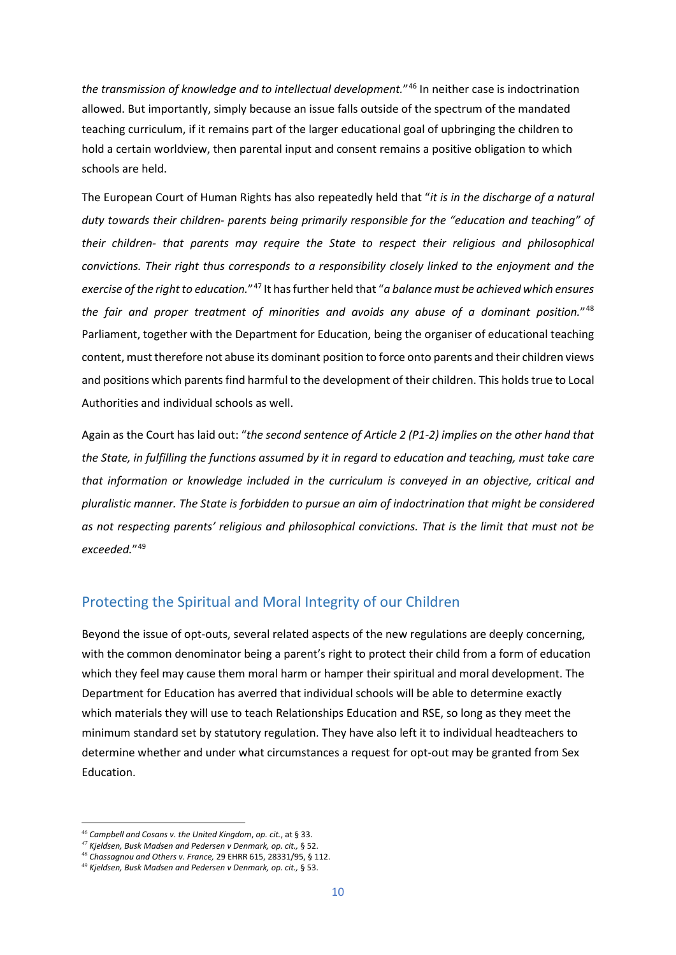*the transmission of knowledge and to intellectual development.*"46 In neither case is indoctrination allowed. But importantly, simply because an issue falls outside of the spectrum of the mandated teaching curriculum, if it remains part of the larger educational goal of upbringing the children to hold a certain worldview, then parental input and consent remains a positive obligation to which schools are held.

The European Court of Human Rights has also repeatedly held that "*it is in the discharge of a natural duty towards their children- parents being primarily responsible for the "education and teaching" of their children- that parents may require the State to respect their religious and philosophical convictions. Their right thus corresponds to a responsibility closely linked to the enjoyment and the exercise of the right to education.*"47 It has further held that "*a balance must be achieved which ensures the fair and proper treatment of minorities and avoids any abuse of a dominant position.*"48 Parliament, together with the Department for Education, being the organiser of educational teaching content, must therefore not abuse its dominant position to force onto parents and their children views and positions which parents find harmful to the development of their children. This holds true to Local Authorities and individual schools as well.

Again as the Court has laid out: "*the second sentence of Article 2 (P1-2) implies on the other hand that the State, in fulfilling the functions assumed by it in regard to education and teaching, must take care that information or knowledge included in the curriculum is conveyed in an objective, critical and pluralistic manner. The State is forbidden to pursue an aim of indoctrination that might be considered as not respecting parents' religious and philosophical convictions. That is the limit that must not be exceeded.*"49

### Protecting the Spiritual and Moral Integrity of our Children

Beyond the issue of opt-outs, several related aspects of the new regulations are deeply concerning, with the common denominator being a parent's right to protect their child from a form of education which they feel may cause them moral harm or hamper their spiritual and moral development. The Department for Education has averred that individual schools will be able to determine exactly which materials they will use to teach Relationships Education and RSE, so long as they meet the minimum standard set by statutory regulation. They have also left it to individual headteachers to determine whether and under what circumstances a request for opt-out may be granted from Sex Education.

<sup>46</sup> *Campbell and Cosans v. the United Kingdom*, *op. cit.*, at § 33.

*<sup>47</sup> Kjeldsen, Busk Madsen and Pedersen v Denmark, op. cit.,* § 52.

<sup>48</sup> *Chassagnou and Others v. France,* 29 EHRR 615, 28331/95, § 112.

<sup>49</sup> *Kjeldsen, Busk Madsen and Pedersen v Denmark, op. cit.,* § 53.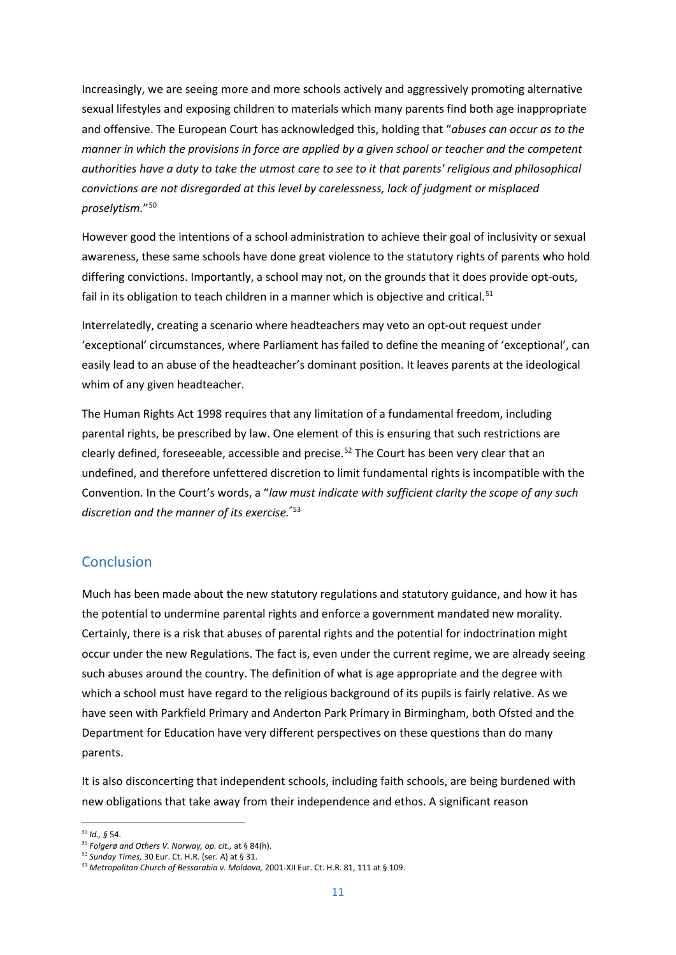Increasingly, we are seeing more and more schools actively and aggressively promoting alternative sexual lifestyles and exposing children to materials which many parents find both age inappropriate and offensive. The European Court has acknowledged this, holding that "*abuses can occur as to the manner in which the provisions in force are applied by a given school or teacher and the competent authorities have a duty to take the utmost care to see to it that parents' religious and philosophical convictions are not disregarded at this level by carelessness, lack of judgment or misplaced proselytism.*"50

However good the intentions of a school administration to achieve their goal of inclusivity or sexual awareness, these same schools have done great violence to the statutory rights of parents who hold differing convictions. Importantly, a school may not, on the grounds that it does provide opt-outs, fail in its obligation to teach children in a manner which is objective and critical.<sup>51</sup>

Interrelatedly, creating a scenario where headteachers may veto an opt-out request under 'exceptional' circumstances, where Parliament has failed to define the meaning of 'exceptional', can easily lead to an abuse of the headteacher's dominant position. It leaves parents at the ideological whim of any given headteacher.

The Human Rights Act 1998 requires that any limitation of a fundamental freedom, including parental rights, be prescribed by law. One element of this is ensuring that such restrictions are clearly defined, foreseeable, accessible and precise.<sup>52</sup> The Court has been very clear that an undefined, and therefore unfettered discretion to limit fundamental rights is incompatible with the Convention. In the Court's words, a "*law must indicate with sufficient clarity the scope of any such discretion and the manner of its exercise.*"53

### **Conclusion**

Much has been made about the new statutory regulations and statutory guidance, and how it has the potential to undermine parental rights and enforce a government mandated new morality. Certainly, there is a risk that abuses of parental rights and the potential for indoctrination might occur under the new Regulations. The fact is, even under the current regime, we are already seeing such abuses around the country. The definition of what is age appropriate and the degree with which a school must have regard to the religious background of its pupils is fairly relative. As we have seen with Parkfield Primary and Anderton Park Primary in Birmingham, both Ofsted and the Department for Education have very different perspectives on these questions than do many parents.

It is also disconcerting that independent schools, including faith schools, are being burdened with new obligations that take away from their independence and ethos. A significant reason

<sup>50</sup> *Id., §* 54.

<sup>51</sup> *Folgerø and Others V. Norway, op. cit.,* at § 84(h).

<sup>52</sup> *Sunday Times,* 30 Eur. Ct. H.R. (ser. A) at § 31.

<sup>53</sup> *Metropolitan Church of Bessarabia v. Moldova,* 2001-XII Eur. Ct. H.R. 81, 111 at § 109.